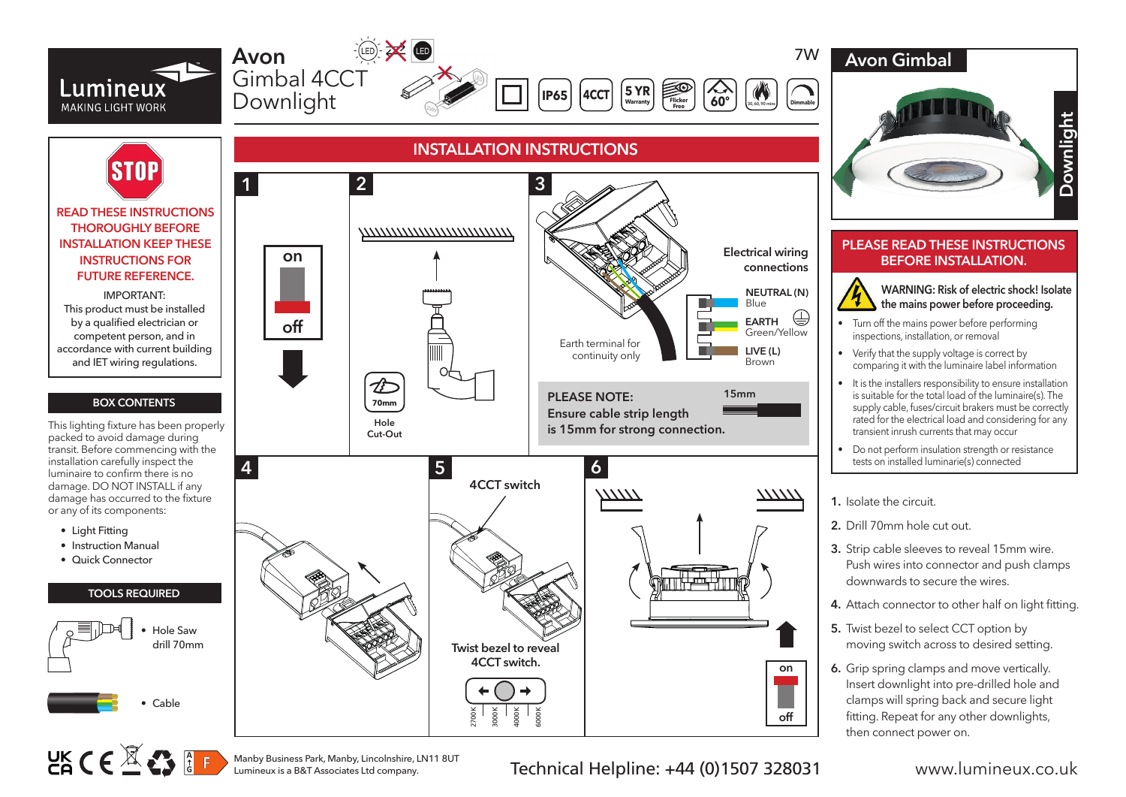

Manby Business Park, Manby, Lincolnshire, LN11 8UT

Technical Helpline: +44 (0)1507 328031 www.lumineux.co.uk